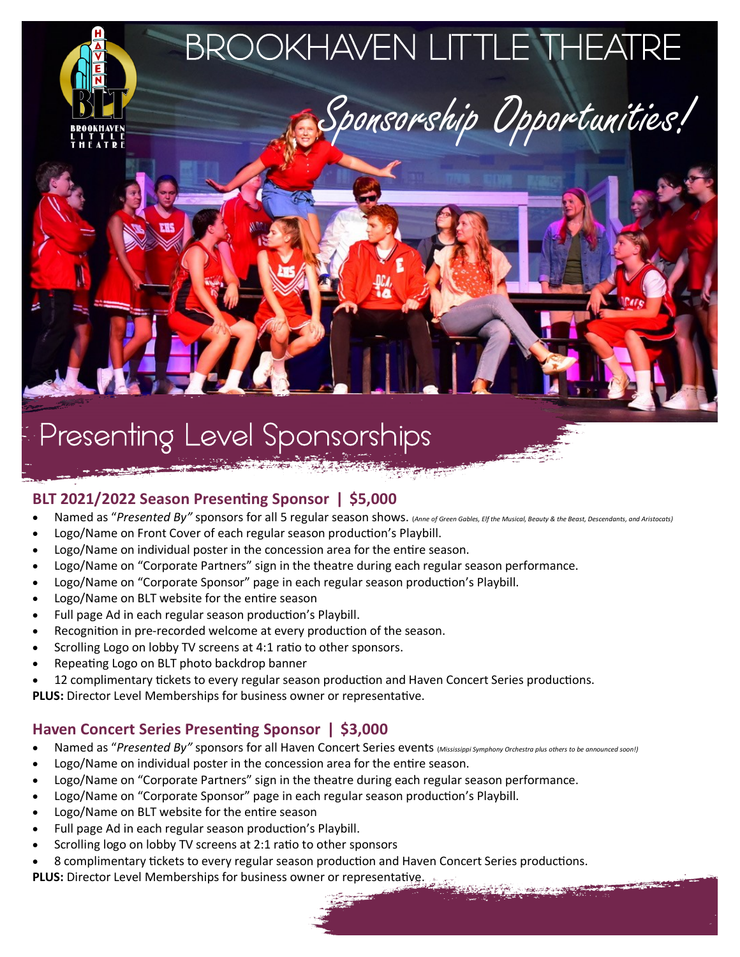

# Presenting Level Sponsorships

#### **BLT 2021/2022 Season Presenting Sponsor ǀ \$5,000**

- Named as "*Presented By"* sponsors for all 5 regular season shows. (*Anne of Green Gables, Elf the Musical, Beauty & the Beast, Descendants, and Aristocats)*
- Logo/Name on Front Cover of each regular season production's Playbill.
- Logo/Name on individual poster in the concession area for the entire season.
- Logo/Name on "Corporate Partners" sign in the theatre during each regular season performance.
- Logo/Name on "Corporate Sponsor" page in each regular season production's Playbill.
- Logo/Name on BLT website for the entire season
- Full page Ad in each regular season production's Playbill.
- Recognition in pre-recorded welcome at every production of the season.
- Scrolling Logo on lobby TV screens at 4:1 ratio to other sponsors.
- Repeating Logo on BLT photo backdrop banner
- 12 complimentary tickets to every regular season production and Haven Concert Series productions.

**PLUS:** Director Level Memberships for business owner or representative.

## **Haven Concert Series Presenting Sponsor ǀ \$3,000**

- Named as "*Presented By"* sponsors for all Haven Concert Series events (*Mississippi Symphony Orchestra plus others to be announced soon!)*
- Logo/Name on individual poster in the concession area for the entire season.
- Logo/Name on "Corporate Partners" sign in the theatre during each regular season performance.
- Logo/Name on "Corporate Sponsor" page in each regular season production's Playbill.
- Logo/Name on BLT website for the entire season
- Full page Ad in each regular season production's Playbill.
- Scrolling logo on lobby TV screens at 2:1 ratio to other sponsors
- 8 complimentary tickets to every regular season production and Haven Concert Series productions.
- **PLUS:** Director Level Memberships for business owner or representative.